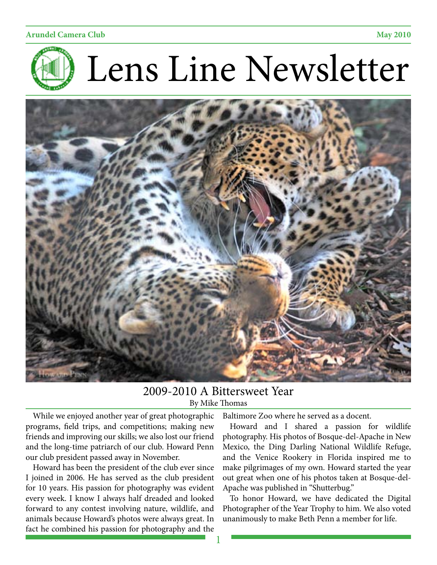



# 2009-2010 A Bittersweet Year By Mike Thomas

While we enjoyed another year of great photographic programs, field trips, and competitions; making new friends and improving our skills; we also lost our friend and the long-time patriarch of our club. Howard Penn our club president passed away in November.

Howard has been the president of the club ever since I joined in 2006. He has served as the club president for 10 years. His passion for photography was evident every week. I know I always half dreaded and looked forward to any contest involving nature, wildlife, and animals because Howard's photos were always great. In fact he combined his passion for photography and the

Baltimore Zoo where he served as a docent.

Howard and I shared a passion for wildlife photography. His photos of Bosque-del-Apache in New Mexico, the Ding Darling National Wildlife Refuge, and the Venice Rookery in Florida inspired me to make pilgrimages of my own. Howard started the year out great when one of his photos taken at Bosque-del-Apache was published in "Shutterbug."

To honor Howard, we have dedicated the Digital Photographer of the Year Trophy to him. We also voted unanimously to make Beth Penn a member for life.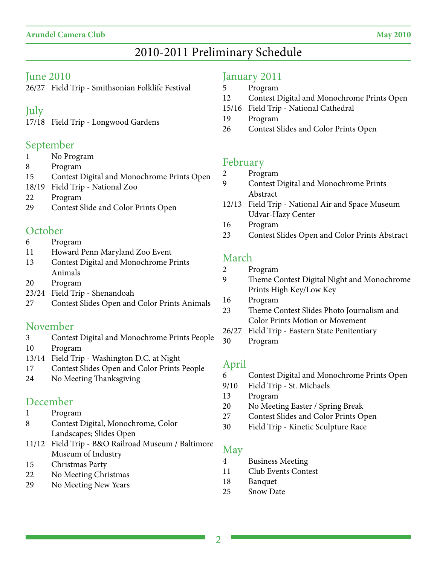# June 2010

26/27 Field Trip - Smithsonian Folklife Festival

# July

17/18 Field Trip - Longwood Gardens

# September

- 1 No Program
- 8 Program
- 15 Contest Digital and Monochrome Prints Open
- 18/19 Field Trip National Zoo
- 22 Program
- 29 Contest Slide and Color Prints Open

# **October**

- 6 Program
- 11 Howard Penn Maryland Zoo Event
- 13 Contest Digital and Monochrome Prints Animals
- 20 Program
- 23/24 Field Trip Shenandoah
- 27 Contest Slides Open and Color Prints Animals

# November

- 3 Contest Digital and Monochrome Prints People
- 10 Program
- 13/14 Field Trip Washington D.C. at Night
- 17 Contest Slides Open and Color Prints People
- 24 No Meeting Thanksgiving

# December

- 1 Program
- 8 Contest Digital, Monochrome, Color Landscapes; Slides Open
- 11/12 Field Trip B&O Railroad Museum / Baltimore Museum of Industry
- 15 Christmas Party
- 22 No Meeting Christmas
- 29 No Meeting New Years

# January 2011

- 5 Program
- 12 Contest Digital and Monochrome Prints Open
- 15/16 Field Trip National Cathedral
- 19 Program
- 26 Contest Slides and Color Prints Open

# February

- 2 Program
- 9 Contest Digital and Monochrome Prints Abstract
- 12/13 Field Trip National Air and Space Museum Udvar-Hazy Center
- 16 Program
- 23 Contest Slides Open and Color Prints Abstract

# March

- 2 Program
- 9 Theme Contest Digital Night and Monochrome Prints High Key/Low Key
- 16 Program
- 23 Theme Contest Slides Photo Journalism and Color Prints Motion or Movement
- 26/27 Field Trip Eastern State Penitentiary
- 30 Program

# April

- 6 Contest Digital and Monochrome Prints Open
- 9/10 Field Trip St. Michaels
- 13 Program
- 20 No Meeting Easter / Spring Break
- 27 Contest Slides and Color Prints Open
- 30 Field Trip Kinetic Sculpture Race

### May

- 4 Business Meeting
- 11 Club Events Contest
- 18 Banquet
- 25 Snow Date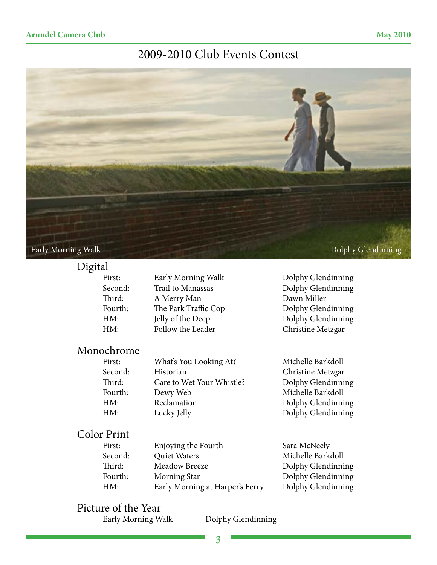# 2009-2010 Club Events Contest



### Digital

| First:  | Early Morning Walk   | Dolphy Glendinning |
|---------|----------------------|--------------------|
| Second: | Trail to Manassas    | Dolphy Glendinning |
| Third:  | A Merry Man          | Dawn Miller        |
| Fourth: | The Park Traffic Cop | Dolphy Glendinning |
| HM:     | Jelly of the Deep    | Dolphy Glendinning |
| HM:     | Follow the Leader    | Christine Metzgar  |
|         |                      |                    |

# Monochrome<br>First:

| First:  | What's You Looking At?    | Michelle Barkdoll  |
|---------|---------------------------|--------------------|
| Second: | Historian                 | Christine Metzgar  |
| Third:  | Care to Wet Your Whistle? | Dolphy Glendinning |
| Fourth: | Dewy Web                  | Michelle Barkdoll  |
| HM:     | Reclamation               | Dolphy Glendinning |
| HM:     | Lucky Jelly               | Dolphy Glendinning |

# Color Print

| First:  | Enjoying the Fourth             |
|---------|---------------------------------|
| Second: | Quiet Waters                    |
| Third:  | Meadow Breeze                   |
| Fourth: | Morning Star                    |
| HM:     | Early Morning at Harper's Ferry |
|         |                                 |

Sara McNeely Michelle Barkdoll Dolphy Glendinning Dolphy Glendinning Dolphy Glendinning

# Picture of the Year

Dolphy Glendinning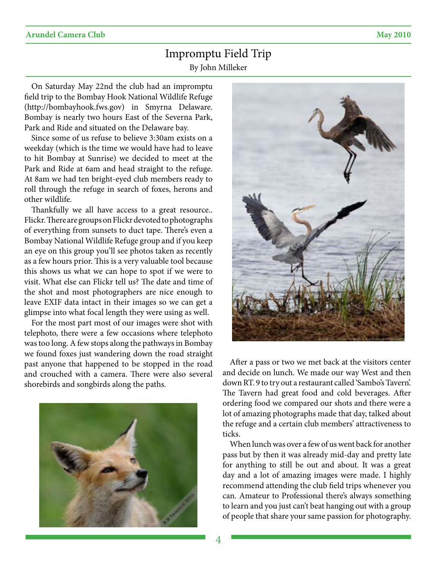# Impromptu Field Trip By John Milleker

On Saturday May 22nd the club had an impromptu field trip to the Bombay Hook National Wildlife Refuge (http://bombayhook.fws.gov) in Smyrna Delaware. Bombay is nearly two hours East of the Severna Park, Park and Ride and situated on the Delaware bay.

Since some of us refuse to believe 3:30am exists on a weekday (which is the time we would have had to leave to hit Bombay at Sunrise) we decided to meet at the Park and Ride at 6am and head straight to the refuge. At 8am we had ten bright-eyed club members ready to roll through the refuge in search of foxes, herons and other wildlife.

Thankfully we all have access to a great resource.. Flickr. There are groups on Flickr devoted to photographs of everything from sunsets to duct tape. There's even a Bombay National Wildlife Refuge group and if you keep an eye on this group you'll see photos taken as recently as a few hours prior. This is a very valuable tool because this shows us what we can hope to spot if we were to visit. What else can Flickr tell us? The date and time of the shot and most photographers are nice enough to leave EXIF data intact in their images so we can get a glimpse into what focal length they were using as well.

For the most part most of our images were shot with telephoto, there were a few occasions where telephoto was too long. A few stops along the pathways in Bombay we found foxes just wandering down the road straight past anyone that happened to be stopped in the road and crouched with a camera. There were also several shorebirds and songbirds along the paths.





After a pass or two we met back at the visitors center and decide on lunch. We made our way West and then down RT. 9 to try out a restaurant called 'Sambo's Tavern'. The Tavern had great food and cold beverages. After ordering food we compared our shots and there were a lot of amazing photographs made that day, talked about the refuge and a certain club members' attractiveness to ticks.

When lunch was over a few of us went back for another pass but by then it was already mid-day and pretty late for anything to still be out and about. It was a great day and a lot of amazing images were made. I highly recommend attending the club field trips whenever you can. Amateur to Professional there's always something to learn and you just can't beat hanging out with a group of people that share your same passion for photography.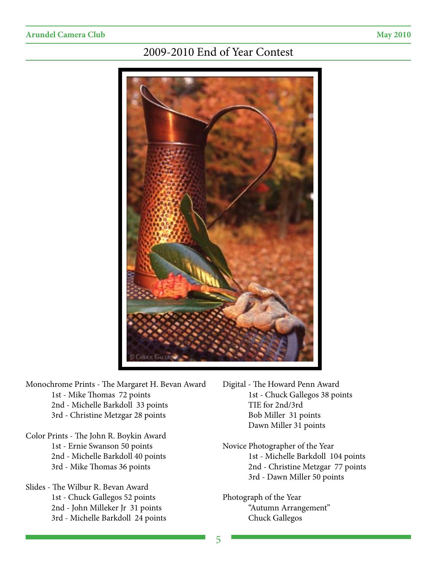# 2009-2010 End of Year Contest



- Monochrome Prints The Margaret H. Bevan Award 1st - Mike Thomas 72 points 2nd - Michelle Barkdoll 33 points 3rd - Christine Metzgar 28 points
- Color Prints The John R. Boykin Award 1st - Ernie Swanson 50 points 2nd - Michelle Barkdoll 40 points 3rd - Mike Thomas 36 points
- Slides The Wilbur R. Bevan Award 1st - Chuck Gallegos 52 points 2nd - John Milleker Jr 31 points 3rd - Michelle Barkdoll 24 points
- Digital The Howard Penn Award 1st - Chuck Gallegos 38 points TIE for 2nd/3rd Bob Miller 31 points Dawn Miller 31 points
- Novice Photographer of the Year 1st - Michelle Barkdoll 104 points 2nd - Christine Metzgar 77 points 3rd - Dawn Miller 50 points
- Photograph of the Year "Autumn Arrangement" Chuck Gallegos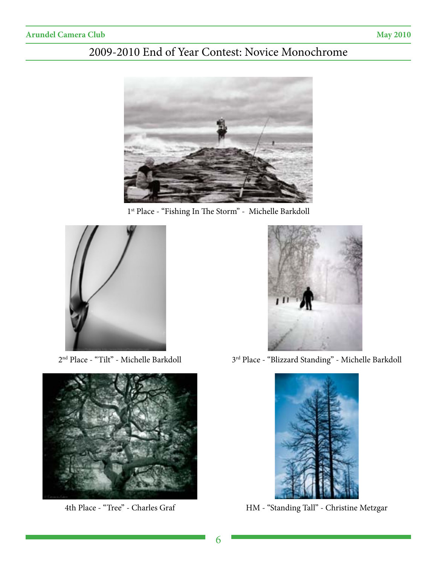# 2009-2010 End of Year Contest: Novice Monochrome



1st Place - "Fishing In The Storm" - Michelle Barkdoll







 $2^{\text{nd}}$  Place - "Tilt" - Michelle Barkdoll  $3^{\text{rd}}$  Place - "Blizzard Standing" - Michelle Barkdoll



4th Place - "Tree" - Charles Graf HM - "Standing Tall" - Christine Metzgar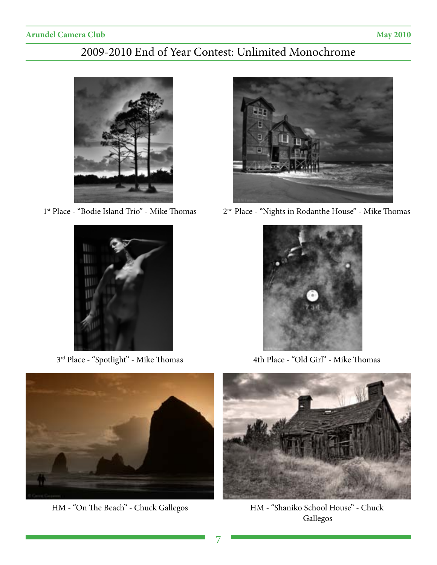# 2009-2010 End of Year Contest: Unlimited Monochrome





3rd Place - "Spotlight" - Mike Thomas 4th Place - "Old Girl" - Mike Thomas



1st Place - "Bodie Island Trio" - Mike Thomas 2nd Place - "Nights in Rodanthe House" - Mike Thomas





HM - "On The Beach" - Chuck Gallegos



HM - "Shaniko School House" - Chuck Gallegos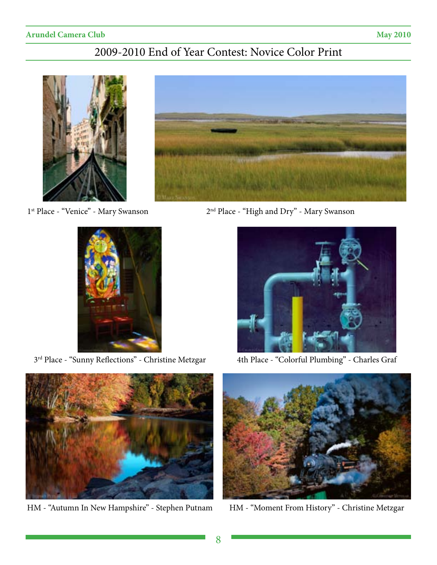# 2009-2010 End of Year Contest: Novice Color Print





3<sup>rd</sup> Place - "Sunny Reflections" - Christine Metzgar <a>4th Place - "Colorful Plumbing" - Charles Graf



HM - "Autumn In New Hampshire" - Stephen Putnam HM - "Moment From History" - Christine Metzgar



1st Place - "Venice" - Mary Swanson 2nd Place - "High and Dry" - Mary Swanson



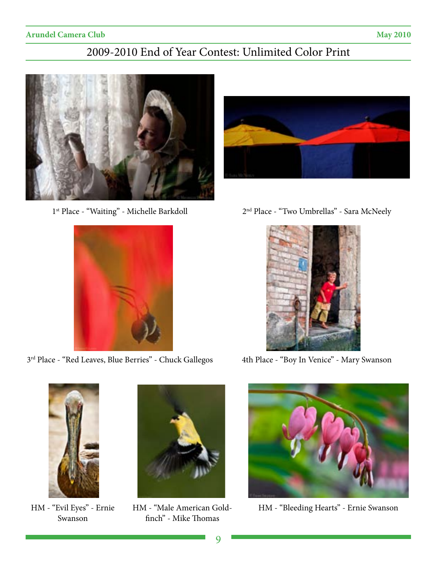# 2009-2010 End of Year Contest: Unlimited Color Print





3<sup>rd</sup> Place - "Red Leaves, Blue Berries" - Chuck Gallegos 4th Place - "Boy In Venice" - Mary Swanson



1<sup>st</sup> Place - "Waiting" - Michelle Barkdoll 2<sup>nd</sup> Place - "Two Umbrellas" - Sara McNeely





Swanson



HM - "Male American Goldfinch" - Mike Thomas



HM - "Evil Eyes" - Ernie HM - "Bleeding Hearts" - Ernie Swanson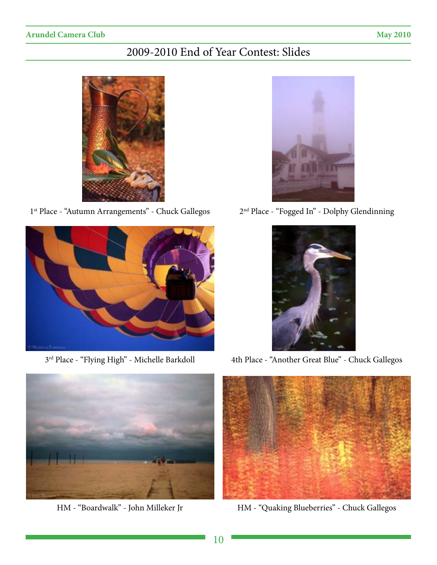# 2009-2010 End of Year Contest: Slides



1<sup>st</sup> Place - "Autumn Arrangements" - Chuck Gallegos 2<sup>nd</sup> Place - "Fogged In" - Dolphy Glendinning









3<sup>rd</sup> Place - "Flying High" - Michelle Barkdoll 4th Place - "Another Great Blue" - Chuck Gallegos



HM - "Boardwalk" - John Milleker Jr HM - "Quaking Blueberries" - Chuck Gallegos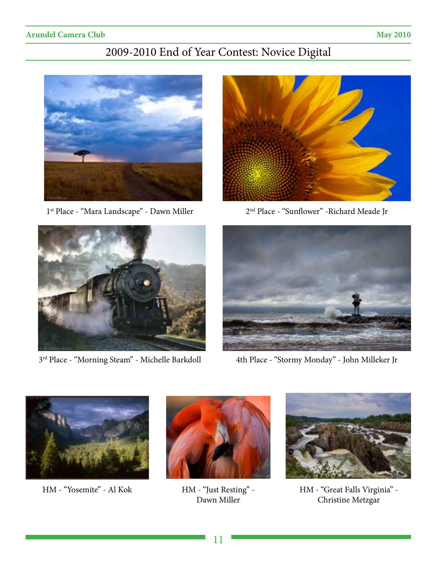# 2009-2010 End of Year Contest: Novice Digital







1<sup>st</sup> Place - "Mara Landscape" - Dawn Miller 2<sup>nd</sup> Place - "Sunflower" - Richard Meade Jr



3<sup>rd</sup> Place - "Morning Steam" - Michelle Barkdoll 4th Place - "Stormy Monday" - John Milleker Jr



HM - "Yosemite" - Al Kok HM - "Just Resting" -



Dawn Miller



HM - "Great Falls Virginia" - Christine Metzgar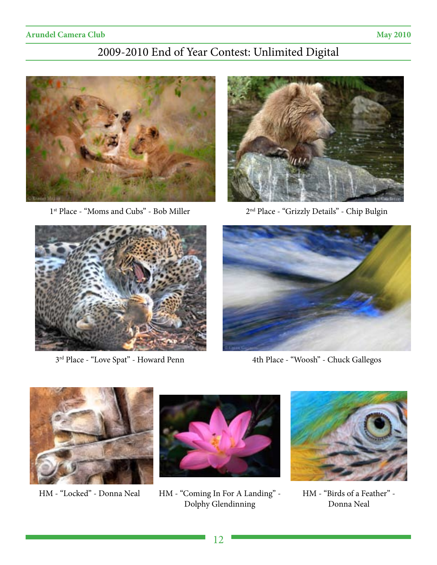# 2009-2010 End of Year Contest: Unlimited Digital





1<sup>st</sup> Place - "Moms and Cubs" - Bob Miller 2<sup>nd</sup> Place - "Grizzly Details" - Chip Bulgin





3rd Place - "Love Spat" - Howard Penn 4th Place - "Woosh" - Chuck Gallegos





HM - "Locked" - Donna Neal HM - "Coming In For A Landing" -Dolphy Glendinning



HM - "Birds of a Feather" - Donna Neal